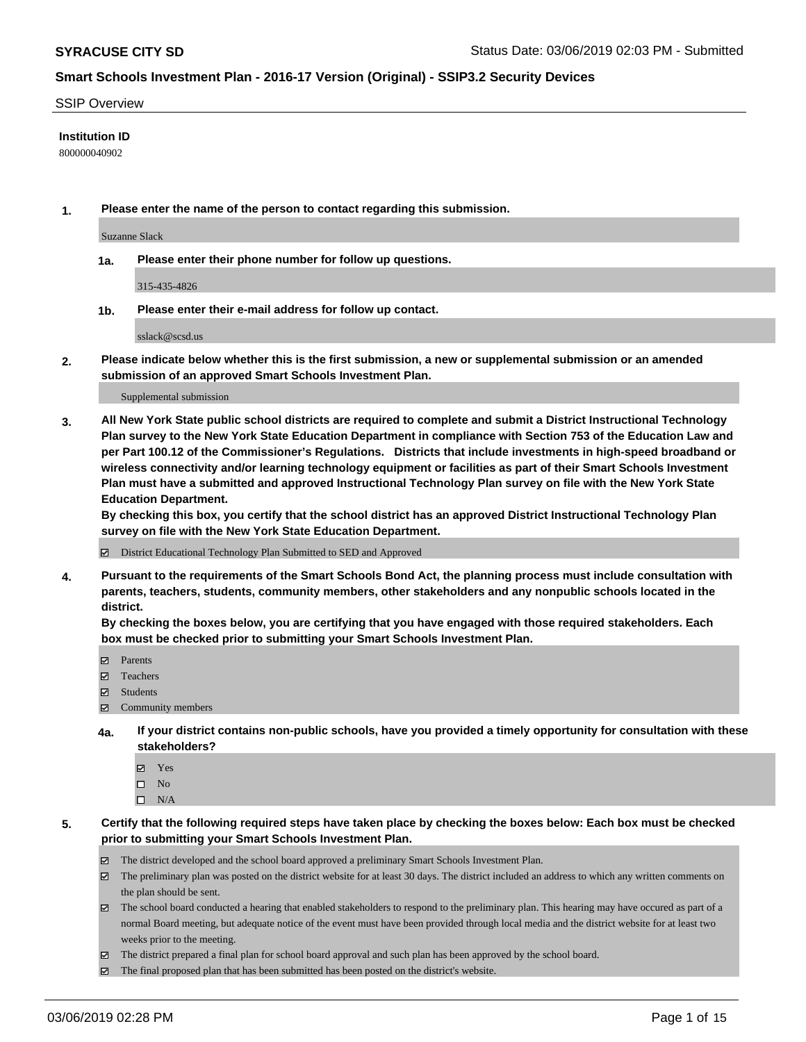#### SSIP Overview

### **Institution ID**

800000040902

**1. Please enter the name of the person to contact regarding this submission.**

Suzanne Slack

**1a. Please enter their phone number for follow up questions.**

315-435-4826

**1b. Please enter their e-mail address for follow up contact.**

sslack@scsd.us

**2. Please indicate below whether this is the first submission, a new or supplemental submission or an amended submission of an approved Smart Schools Investment Plan.**

#### Supplemental submission

**3. All New York State public school districts are required to complete and submit a District Instructional Technology Plan survey to the New York State Education Department in compliance with Section 753 of the Education Law and per Part 100.12 of the Commissioner's Regulations. Districts that include investments in high-speed broadband or wireless connectivity and/or learning technology equipment or facilities as part of their Smart Schools Investment Plan must have a submitted and approved Instructional Technology Plan survey on file with the New York State Education Department.** 

**By checking this box, you certify that the school district has an approved District Instructional Technology Plan survey on file with the New York State Education Department.**

District Educational Technology Plan Submitted to SED and Approved

**4. Pursuant to the requirements of the Smart Schools Bond Act, the planning process must include consultation with parents, teachers, students, community members, other stakeholders and any nonpublic schools located in the district.** 

**By checking the boxes below, you are certifying that you have engaged with those required stakeholders. Each box must be checked prior to submitting your Smart Schools Investment Plan.**

- Parents
- Teachers
- Students
- Community members
- **4a. If your district contains non-public schools, have you provided a timely opportunity for consultation with these stakeholders?**
	- Yes
	- $\square$  No
	- $\square$  N/A
- **5. Certify that the following required steps have taken place by checking the boxes below: Each box must be checked prior to submitting your Smart Schools Investment Plan.**
	- The district developed and the school board approved a preliminary Smart Schools Investment Plan.
	- $\boxtimes$  The preliminary plan was posted on the district website for at least 30 days. The district included an address to which any written comments on the plan should be sent.
	- $\boxtimes$  The school board conducted a hearing that enabled stakeholders to respond to the preliminary plan. This hearing may have occured as part of a normal Board meeting, but adequate notice of the event must have been provided through local media and the district website for at least two weeks prior to the meeting.
	- The district prepared a final plan for school board approval and such plan has been approved by the school board.
	- $\boxtimes$  The final proposed plan that has been submitted has been posted on the district's website.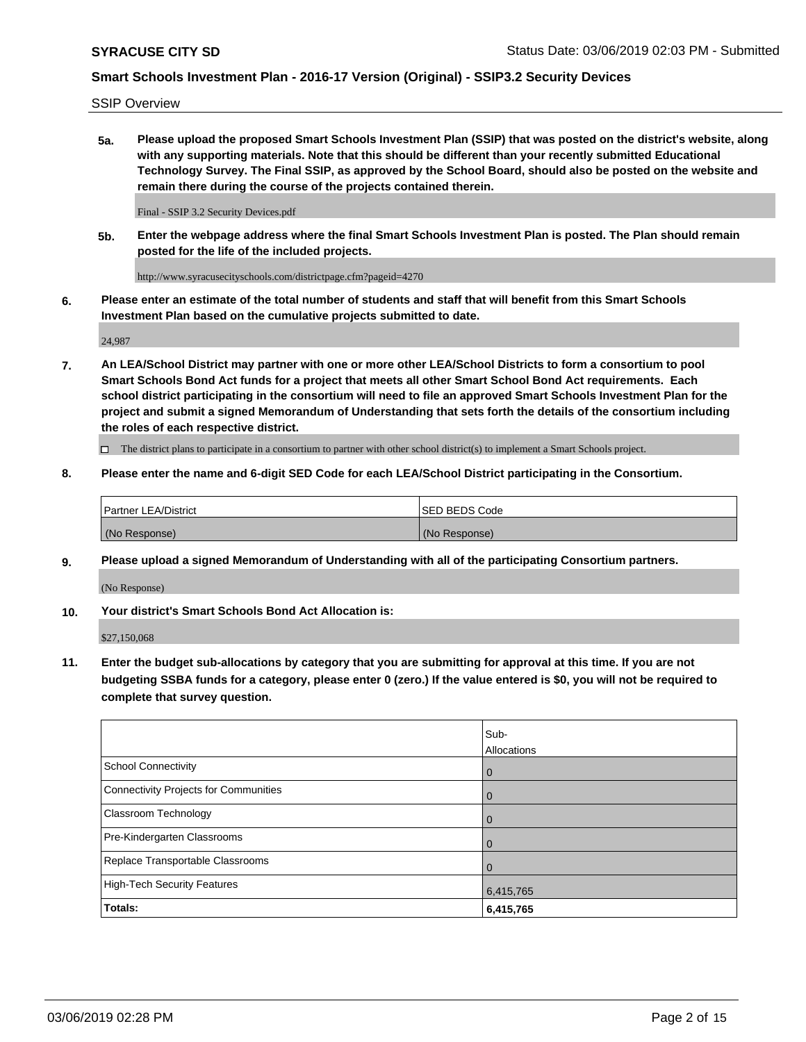SSIP Overview

**5a. Please upload the proposed Smart Schools Investment Plan (SSIP) that was posted on the district's website, along with any supporting materials. Note that this should be different than your recently submitted Educational Technology Survey. The Final SSIP, as approved by the School Board, should also be posted on the website and remain there during the course of the projects contained therein.**

Final - SSIP 3.2 Security Devices.pdf

**5b. Enter the webpage address where the final Smart Schools Investment Plan is posted. The Plan should remain posted for the life of the included projects.**

http://www.syracusecityschools.com/districtpage.cfm?pageid=4270

**6. Please enter an estimate of the total number of students and staff that will benefit from this Smart Schools Investment Plan based on the cumulative projects submitted to date.**

24,987

**7. An LEA/School District may partner with one or more other LEA/School Districts to form a consortium to pool Smart Schools Bond Act funds for a project that meets all other Smart School Bond Act requirements. Each school district participating in the consortium will need to file an approved Smart Schools Investment Plan for the project and submit a signed Memorandum of Understanding that sets forth the details of the consortium including the roles of each respective district.**

 $\Box$  The district plans to participate in a consortium to partner with other school district(s) to implement a Smart Schools project.

### **8. Please enter the name and 6-digit SED Code for each LEA/School District participating in the Consortium.**

| Partner LEA/District | <b>ISED BEDS Code</b> |
|----------------------|-----------------------|
| (No Response)        | (No Response)         |

#### **9. Please upload a signed Memorandum of Understanding with all of the participating Consortium partners.**

(No Response)

**10. Your district's Smart Schools Bond Act Allocation is:**

\$27,150,068

**11. Enter the budget sub-allocations by category that you are submitting for approval at this time. If you are not budgeting SSBA funds for a category, please enter 0 (zero.) If the value entered is \$0, you will not be required to complete that survey question.**

|                                       | Sub-<br><b>Allocations</b> |
|---------------------------------------|----------------------------|
| School Connectivity                   | l 0                        |
| Connectivity Projects for Communities | $\mathbf 0$                |
| <b>Classroom Technology</b>           | $\overline{0}$             |
| Pre-Kindergarten Classrooms           | $\Omega$                   |
| Replace Transportable Classrooms      |                            |
| High-Tech Security Features           | 6,415,765                  |
| Totals:                               | 6,415,765                  |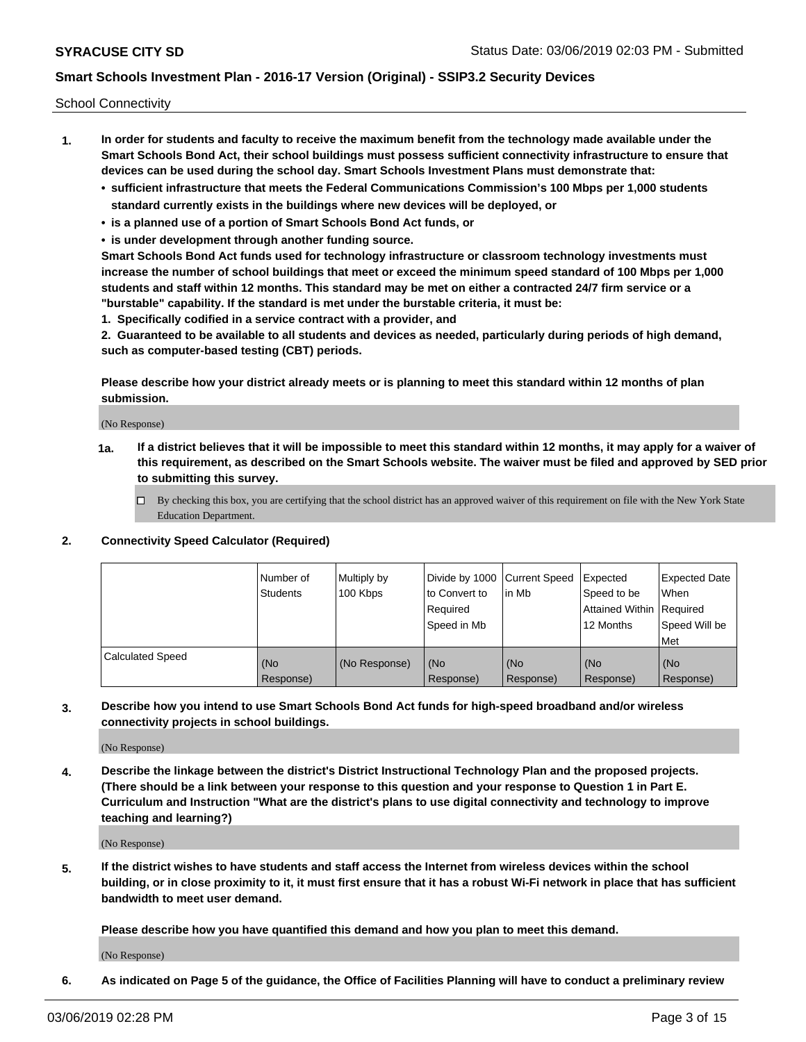School Connectivity

- **1. In order for students and faculty to receive the maximum benefit from the technology made available under the Smart Schools Bond Act, their school buildings must possess sufficient connectivity infrastructure to ensure that devices can be used during the school day. Smart Schools Investment Plans must demonstrate that:**
	- **• sufficient infrastructure that meets the Federal Communications Commission's 100 Mbps per 1,000 students standard currently exists in the buildings where new devices will be deployed, or**
	- **• is a planned use of a portion of Smart Schools Bond Act funds, or**
	- **• is under development through another funding source.**

**Smart Schools Bond Act funds used for technology infrastructure or classroom technology investments must increase the number of school buildings that meet or exceed the minimum speed standard of 100 Mbps per 1,000 students and staff within 12 months. This standard may be met on either a contracted 24/7 firm service or a "burstable" capability. If the standard is met under the burstable criteria, it must be:**

**1. Specifically codified in a service contract with a provider, and**

**2. Guaranteed to be available to all students and devices as needed, particularly during periods of high demand, such as computer-based testing (CBT) periods.**

**Please describe how your district already meets or is planning to meet this standard within 12 months of plan submission.**

(No Response)

**1a. If a district believes that it will be impossible to meet this standard within 12 months, it may apply for a waiver of this requirement, as described on the Smart Schools website. The waiver must be filed and approved by SED prior to submitting this survey.**

 $\Box$  By checking this box, you are certifying that the school district has an approved waiver of this requirement on file with the New York State Education Department.

**2. Connectivity Speed Calculator (Required)**

|                         | l Number of<br><b>Students</b> | Multiply by<br>100 Kbps | Divide by 1000 Current Speed<br>to Convert to<br>Required<br>Speed in Mb | lin Mb           | Expected<br>Speed to be<br>Attained Within   Required<br>12 Months | <b>Expected Date</b><br><b>When</b><br>Speed Will be<br><b>Met</b> |
|-------------------------|--------------------------------|-------------------------|--------------------------------------------------------------------------|------------------|--------------------------------------------------------------------|--------------------------------------------------------------------|
| <b>Calculated Speed</b> | (No<br>Response)               | (No Response)           | (No<br>Response)                                                         | (No<br>Response) | (No<br>Response)                                                   | (No<br>Response)                                                   |

**3. Describe how you intend to use Smart Schools Bond Act funds for high-speed broadband and/or wireless connectivity projects in school buildings.**

(No Response)

**4. Describe the linkage between the district's District Instructional Technology Plan and the proposed projects. (There should be a link between your response to this question and your response to Question 1 in Part E. Curriculum and Instruction "What are the district's plans to use digital connectivity and technology to improve teaching and learning?)**

(No Response)

**5. If the district wishes to have students and staff access the Internet from wireless devices within the school building, or in close proximity to it, it must first ensure that it has a robust Wi-Fi network in place that has sufficient bandwidth to meet user demand.**

**Please describe how you have quantified this demand and how you plan to meet this demand.**

(No Response)

**6. As indicated on Page 5 of the guidance, the Office of Facilities Planning will have to conduct a preliminary review**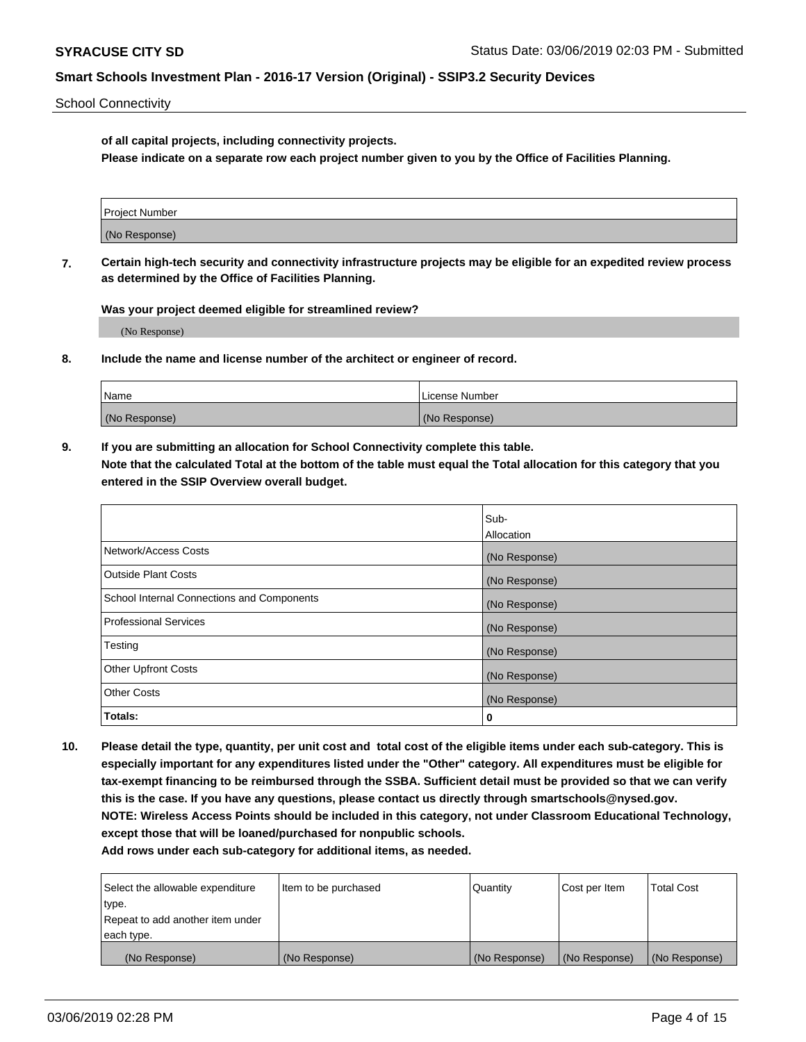School Connectivity

**of all capital projects, including connectivity projects.**

**Please indicate on a separate row each project number given to you by the Office of Facilities Planning.**

| Project Number |  |
|----------------|--|
|                |  |
| (No Response)  |  |
|                |  |

**7. Certain high-tech security and connectivity infrastructure projects may be eligible for an expedited review process as determined by the Office of Facilities Planning.**

**Was your project deemed eligible for streamlined review?**

(No Response)

**8. Include the name and license number of the architect or engineer of record.**

| Name          | License Number |
|---------------|----------------|
| (No Response) | (No Response)  |

**9. If you are submitting an allocation for School Connectivity complete this table. Note that the calculated Total at the bottom of the table must equal the Total allocation for this category that you entered in the SSIP Overview overall budget.** 

|                                            | Sub-          |
|--------------------------------------------|---------------|
|                                            | Allocation    |
| Network/Access Costs                       | (No Response) |
| Outside Plant Costs                        | (No Response) |
| School Internal Connections and Components | (No Response) |
| <b>Professional Services</b>               | (No Response) |
| Testing                                    | (No Response) |
| <b>Other Upfront Costs</b>                 | (No Response) |
| <b>Other Costs</b>                         | (No Response) |
| Totals:                                    | 0             |

**10. Please detail the type, quantity, per unit cost and total cost of the eligible items under each sub-category. This is especially important for any expenditures listed under the "Other" category. All expenditures must be eligible for tax-exempt financing to be reimbursed through the SSBA. Sufficient detail must be provided so that we can verify this is the case. If you have any questions, please contact us directly through smartschools@nysed.gov. NOTE: Wireless Access Points should be included in this category, not under Classroom Educational Technology, except those that will be loaned/purchased for nonpublic schools.**

| Select the allowable expenditure | Item to be purchased | Quantity      | Cost per Item | <b>Total Cost</b> |
|----------------------------------|----------------------|---------------|---------------|-------------------|
| type.                            |                      |               |               |                   |
| Repeat to add another item under |                      |               |               |                   |
| each type.                       |                      |               |               |                   |
| (No Response)                    | (No Response)        | (No Response) | (No Response) | (No Response)     |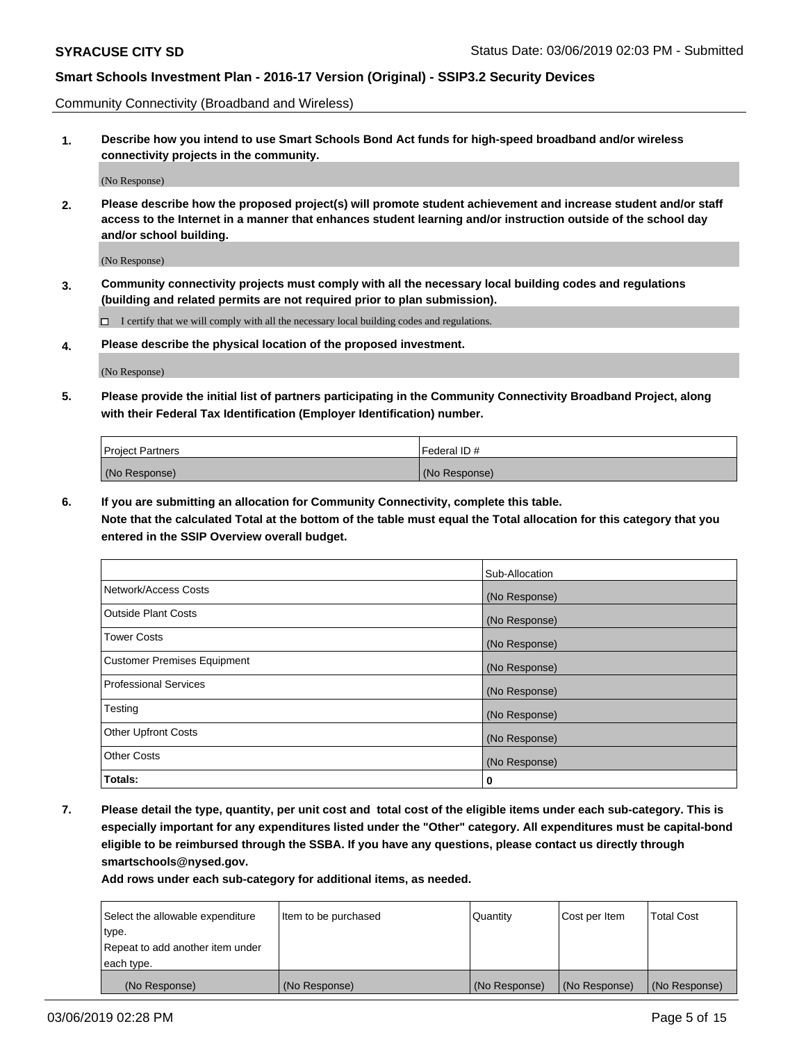Community Connectivity (Broadband and Wireless)

**1. Describe how you intend to use Smart Schools Bond Act funds for high-speed broadband and/or wireless connectivity projects in the community.**

(No Response)

**2. Please describe how the proposed project(s) will promote student achievement and increase student and/or staff access to the Internet in a manner that enhances student learning and/or instruction outside of the school day and/or school building.**

(No Response)

**3. Community connectivity projects must comply with all the necessary local building codes and regulations (building and related permits are not required prior to plan submission).**

 $\Box$  I certify that we will comply with all the necessary local building codes and regulations.

**4. Please describe the physical location of the proposed investment.**

(No Response)

**5. Please provide the initial list of partners participating in the Community Connectivity Broadband Project, along with their Federal Tax Identification (Employer Identification) number.**

| <b>Project Partners</b> | l Federal ID # |
|-------------------------|----------------|
| (No Response)           | (No Response)  |

**6. If you are submitting an allocation for Community Connectivity, complete this table.**

**Note that the calculated Total at the bottom of the table must equal the Total allocation for this category that you entered in the SSIP Overview overall budget.**

|                                    | Sub-Allocation |
|------------------------------------|----------------|
| Network/Access Costs               | (No Response)  |
| <b>Outside Plant Costs</b>         | (No Response)  |
| <b>Tower Costs</b>                 | (No Response)  |
| <b>Customer Premises Equipment</b> | (No Response)  |
| <b>Professional Services</b>       | (No Response)  |
| Testing                            | (No Response)  |
| <b>Other Upfront Costs</b>         | (No Response)  |
| <b>Other Costs</b>                 | (No Response)  |
| Totals:                            | 0              |

**7. Please detail the type, quantity, per unit cost and total cost of the eligible items under each sub-category. This is especially important for any expenditures listed under the "Other" category. All expenditures must be capital-bond eligible to be reimbursed through the SSBA. If you have any questions, please contact us directly through smartschools@nysed.gov.**

| Select the allowable expenditure | Item to be purchased | Quantity      | Cost per Item | <b>Total Cost</b> |
|----------------------------------|----------------------|---------------|---------------|-------------------|
| type.                            |                      |               |               |                   |
| Repeat to add another item under |                      |               |               |                   |
| each type.                       |                      |               |               |                   |
| (No Response)                    | (No Response)        | (No Response) | (No Response) | (No Response)     |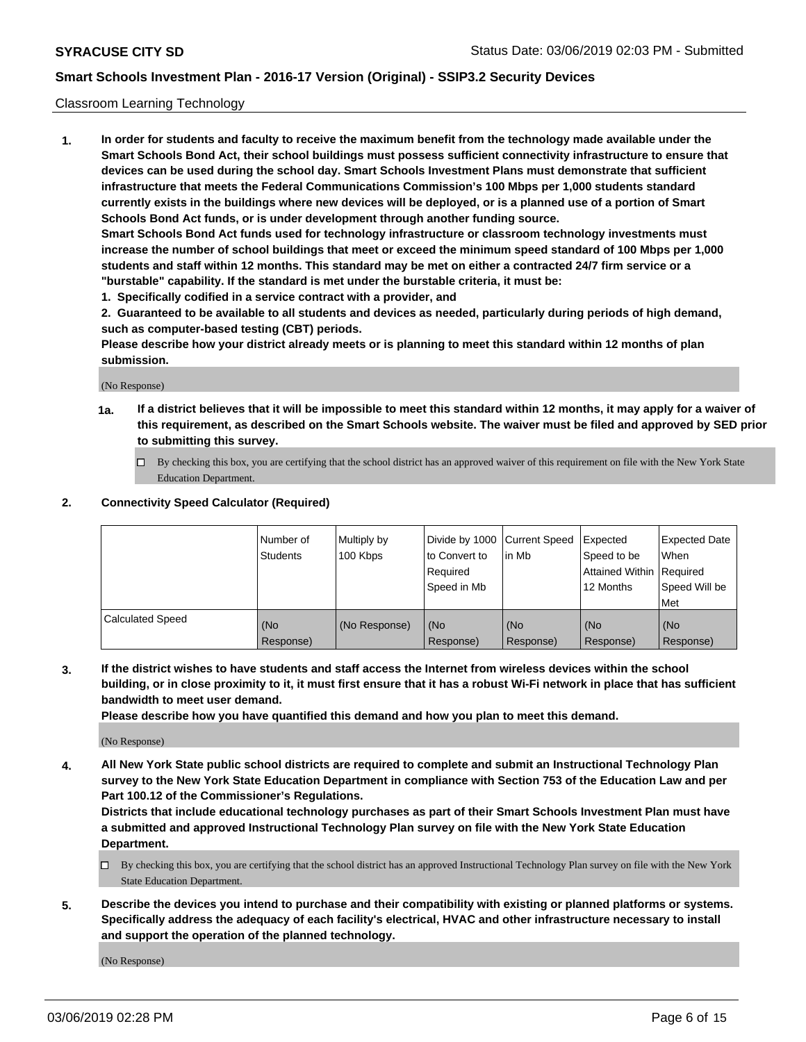### Classroom Learning Technology

**1. In order for students and faculty to receive the maximum benefit from the technology made available under the Smart Schools Bond Act, their school buildings must possess sufficient connectivity infrastructure to ensure that devices can be used during the school day. Smart Schools Investment Plans must demonstrate that sufficient infrastructure that meets the Federal Communications Commission's 100 Mbps per 1,000 students standard currently exists in the buildings where new devices will be deployed, or is a planned use of a portion of Smart Schools Bond Act funds, or is under development through another funding source. Smart Schools Bond Act funds used for technology infrastructure or classroom technology investments must increase the number of school buildings that meet or exceed the minimum speed standard of 100 Mbps per 1,000 students and staff within 12 months. This standard may be met on either a contracted 24/7 firm service or a**

**"burstable" capability. If the standard is met under the burstable criteria, it must be:**

**1. Specifically codified in a service contract with a provider, and**

**2. Guaranteed to be available to all students and devices as needed, particularly during periods of high demand, such as computer-based testing (CBT) periods.**

**Please describe how your district already meets or is planning to meet this standard within 12 months of plan submission.**

(No Response)

- **1a. If a district believes that it will be impossible to meet this standard within 12 months, it may apply for a waiver of this requirement, as described on the Smart Schools website. The waiver must be filed and approved by SED prior to submitting this survey.**
	- By checking this box, you are certifying that the school district has an approved waiver of this requirement on file with the New York State Education Department.

#### **2. Connectivity Speed Calculator (Required)**

|                         | I Number of<br>Students | Multiply by<br>100 Kbps | to Convert to<br>Required<br>Speed in Mb | Divide by 1000 Current Speed Expected<br>lin Mb | Speed to be<br>Attained Within Required<br>12 Months | <b>Expected Date</b><br>When<br>Speed Will be<br>Met |
|-------------------------|-------------------------|-------------------------|------------------------------------------|-------------------------------------------------|------------------------------------------------------|------------------------------------------------------|
| <b>Calculated Speed</b> | (No<br>Response)        | (No Response)           | (No<br>Response)                         | (No<br>Response)                                | (No<br>Response)                                     | (No<br>Response)                                     |

**3. If the district wishes to have students and staff access the Internet from wireless devices within the school building, or in close proximity to it, it must first ensure that it has a robust Wi-Fi network in place that has sufficient bandwidth to meet user demand.**

**Please describe how you have quantified this demand and how you plan to meet this demand.**

(No Response)

**4. All New York State public school districts are required to complete and submit an Instructional Technology Plan survey to the New York State Education Department in compliance with Section 753 of the Education Law and per Part 100.12 of the Commissioner's Regulations.**

**Districts that include educational technology purchases as part of their Smart Schools Investment Plan must have a submitted and approved Instructional Technology Plan survey on file with the New York State Education Department.**

- $\Box$  By checking this box, you are certifying that the school district has an approved Instructional Technology Plan survey on file with the New York State Education Department.
- **5. Describe the devices you intend to purchase and their compatibility with existing or planned platforms or systems. Specifically address the adequacy of each facility's electrical, HVAC and other infrastructure necessary to install and support the operation of the planned technology.**

(No Response)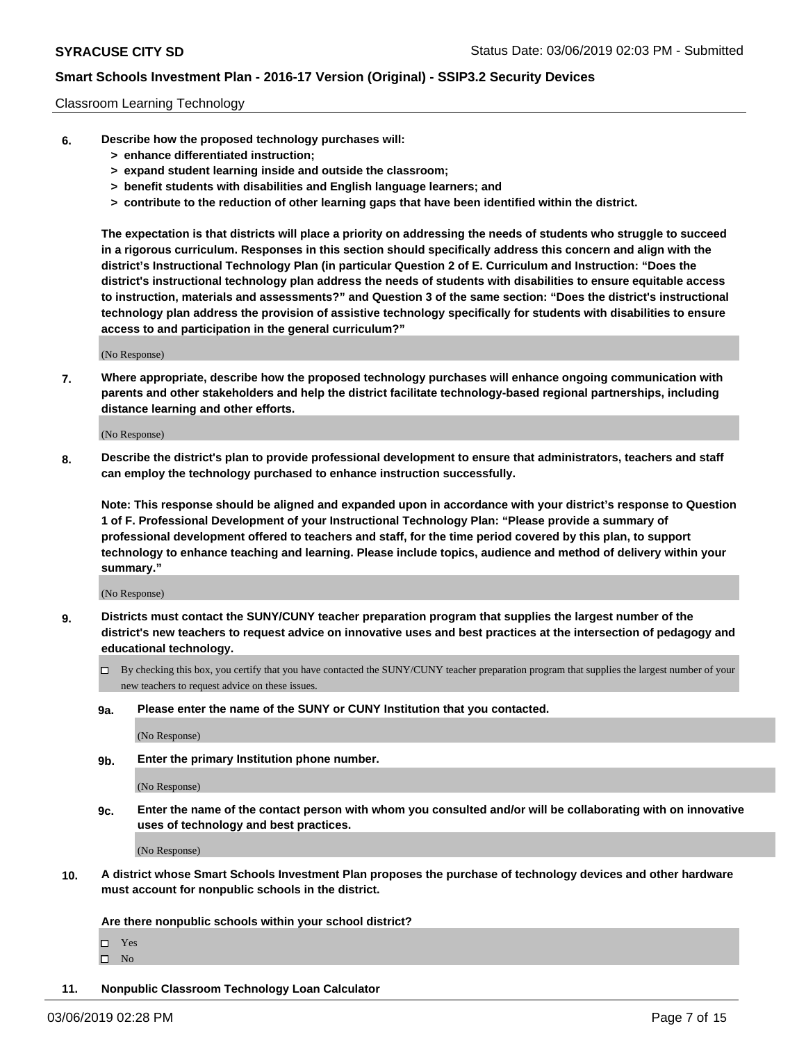### Classroom Learning Technology

- **6. Describe how the proposed technology purchases will:**
	- **> enhance differentiated instruction;**
	- **> expand student learning inside and outside the classroom;**
	- **> benefit students with disabilities and English language learners; and**
	- **> contribute to the reduction of other learning gaps that have been identified within the district.**

**The expectation is that districts will place a priority on addressing the needs of students who struggle to succeed in a rigorous curriculum. Responses in this section should specifically address this concern and align with the district's Instructional Technology Plan (in particular Question 2 of E. Curriculum and Instruction: "Does the district's instructional technology plan address the needs of students with disabilities to ensure equitable access to instruction, materials and assessments?" and Question 3 of the same section: "Does the district's instructional technology plan address the provision of assistive technology specifically for students with disabilities to ensure access to and participation in the general curriculum?"**

(No Response)

**7. Where appropriate, describe how the proposed technology purchases will enhance ongoing communication with parents and other stakeholders and help the district facilitate technology-based regional partnerships, including distance learning and other efforts.**

(No Response)

**8. Describe the district's plan to provide professional development to ensure that administrators, teachers and staff can employ the technology purchased to enhance instruction successfully.**

**Note: This response should be aligned and expanded upon in accordance with your district's response to Question 1 of F. Professional Development of your Instructional Technology Plan: "Please provide a summary of professional development offered to teachers and staff, for the time period covered by this plan, to support technology to enhance teaching and learning. Please include topics, audience and method of delivery within your summary."**

(No Response)

- **9. Districts must contact the SUNY/CUNY teacher preparation program that supplies the largest number of the district's new teachers to request advice on innovative uses and best practices at the intersection of pedagogy and educational technology.**
	- By checking this box, you certify that you have contacted the SUNY/CUNY teacher preparation program that supplies the largest number of your new teachers to request advice on these issues.
	- **9a. Please enter the name of the SUNY or CUNY Institution that you contacted.**

(No Response)

**9b. Enter the primary Institution phone number.**

(No Response)

**9c. Enter the name of the contact person with whom you consulted and/or will be collaborating with on innovative uses of technology and best practices.**

(No Response)

**10. A district whose Smart Schools Investment Plan proposes the purchase of technology devices and other hardware must account for nonpublic schools in the district.**

**Are there nonpublic schools within your school district?**

Yes

 $\square$  No

**11. Nonpublic Classroom Technology Loan Calculator**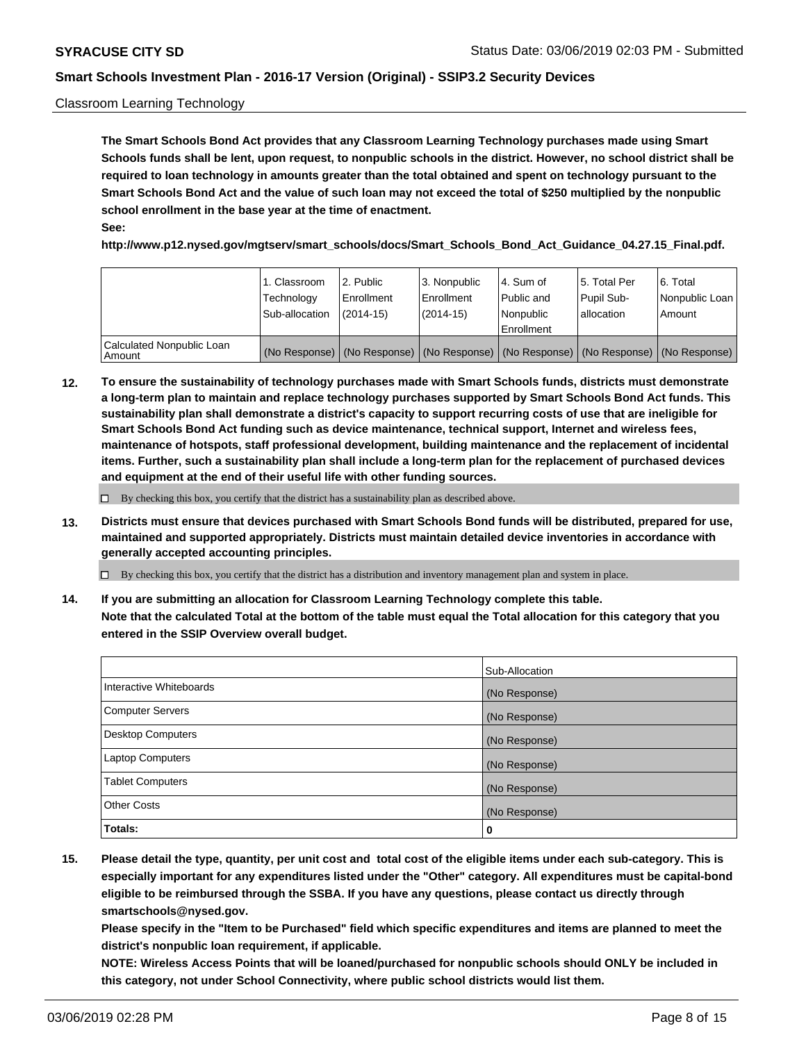### Classroom Learning Technology

**The Smart Schools Bond Act provides that any Classroom Learning Technology purchases made using Smart Schools funds shall be lent, upon request, to nonpublic schools in the district. However, no school district shall be required to loan technology in amounts greater than the total obtained and spent on technology pursuant to the Smart Schools Bond Act and the value of such loan may not exceed the total of \$250 multiplied by the nonpublic school enrollment in the base year at the time of enactment. See:**

**http://www.p12.nysed.gov/mgtserv/smart\_schools/docs/Smart\_Schools\_Bond\_Act\_Guidance\_04.27.15\_Final.pdf.**

|                                       | 1. Classroom<br>Technology<br>Sub-allocation | 2. Public<br>l Enrollment<br>(2014-15) | l 3. Nonpublic<br>l Enrollment<br>$(2014 - 15)$ | l 4. Sum of<br>l Public and<br>l Nonpublic<br>Enrollment                                      | 15. Total Per<br>Pupil Sub-<br>l allocation | l 6. Total<br>Nonpublic Loan<br>Amount |
|---------------------------------------|----------------------------------------------|----------------------------------------|-------------------------------------------------|-----------------------------------------------------------------------------------------------|---------------------------------------------|----------------------------------------|
| Calculated Nonpublic Loan<br>l Amount |                                              |                                        |                                                 | (No Response)   (No Response)   (No Response)   (No Response)   (No Response)   (No Response) |                                             |                                        |

**12. To ensure the sustainability of technology purchases made with Smart Schools funds, districts must demonstrate a long-term plan to maintain and replace technology purchases supported by Smart Schools Bond Act funds. This sustainability plan shall demonstrate a district's capacity to support recurring costs of use that are ineligible for Smart Schools Bond Act funding such as device maintenance, technical support, Internet and wireless fees, maintenance of hotspots, staff professional development, building maintenance and the replacement of incidental items. Further, such a sustainability plan shall include a long-term plan for the replacement of purchased devices and equipment at the end of their useful life with other funding sources.**

 $\Box$  By checking this box, you certify that the district has a sustainability plan as described above.

**13. Districts must ensure that devices purchased with Smart Schools Bond funds will be distributed, prepared for use, maintained and supported appropriately. Districts must maintain detailed device inventories in accordance with generally accepted accounting principles.**

By checking this box, you certify that the district has a distribution and inventory management plan and system in place.

**14. If you are submitting an allocation for Classroom Learning Technology complete this table. Note that the calculated Total at the bottom of the table must equal the Total allocation for this category that you entered in the SSIP Overview overall budget.**

|                          | Sub-Allocation |
|--------------------------|----------------|
| Interactive Whiteboards  | (No Response)  |
| <b>Computer Servers</b>  | (No Response)  |
| <b>Desktop Computers</b> | (No Response)  |
| <b>Laptop Computers</b>  | (No Response)  |
| <b>Tablet Computers</b>  | (No Response)  |
| <b>Other Costs</b>       | (No Response)  |
| Totals:                  | 0              |

**15. Please detail the type, quantity, per unit cost and total cost of the eligible items under each sub-category. This is especially important for any expenditures listed under the "Other" category. All expenditures must be capital-bond eligible to be reimbursed through the SSBA. If you have any questions, please contact us directly through smartschools@nysed.gov.**

**Please specify in the "Item to be Purchased" field which specific expenditures and items are planned to meet the district's nonpublic loan requirement, if applicable.**

**NOTE: Wireless Access Points that will be loaned/purchased for nonpublic schools should ONLY be included in this category, not under School Connectivity, where public school districts would list them.**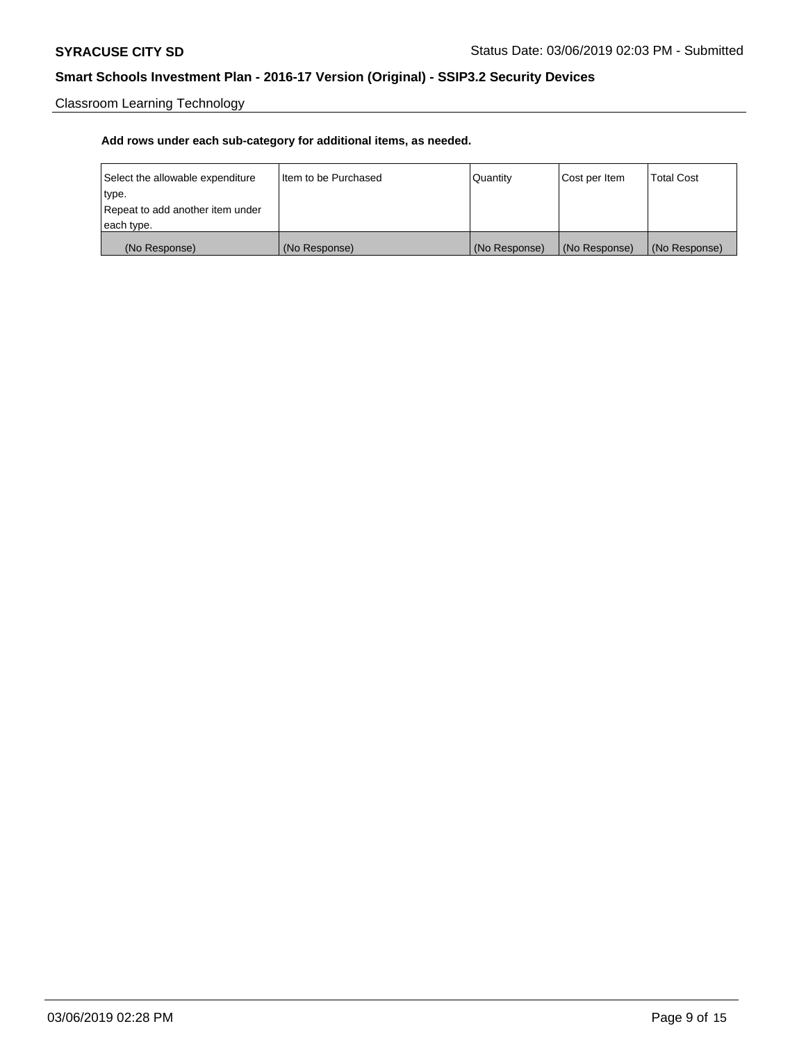Classroom Learning Technology

| Select the allowable expenditure | Iltem to be Purchased | Quantity      | Cost per Item | <b>Total Cost</b> |
|----------------------------------|-----------------------|---------------|---------------|-------------------|
| type.                            |                       |               |               |                   |
| Repeat to add another item under |                       |               |               |                   |
| each type.                       |                       |               |               |                   |
| (No Response)                    | (No Response)         | (No Response) | (No Response) | (No Response)     |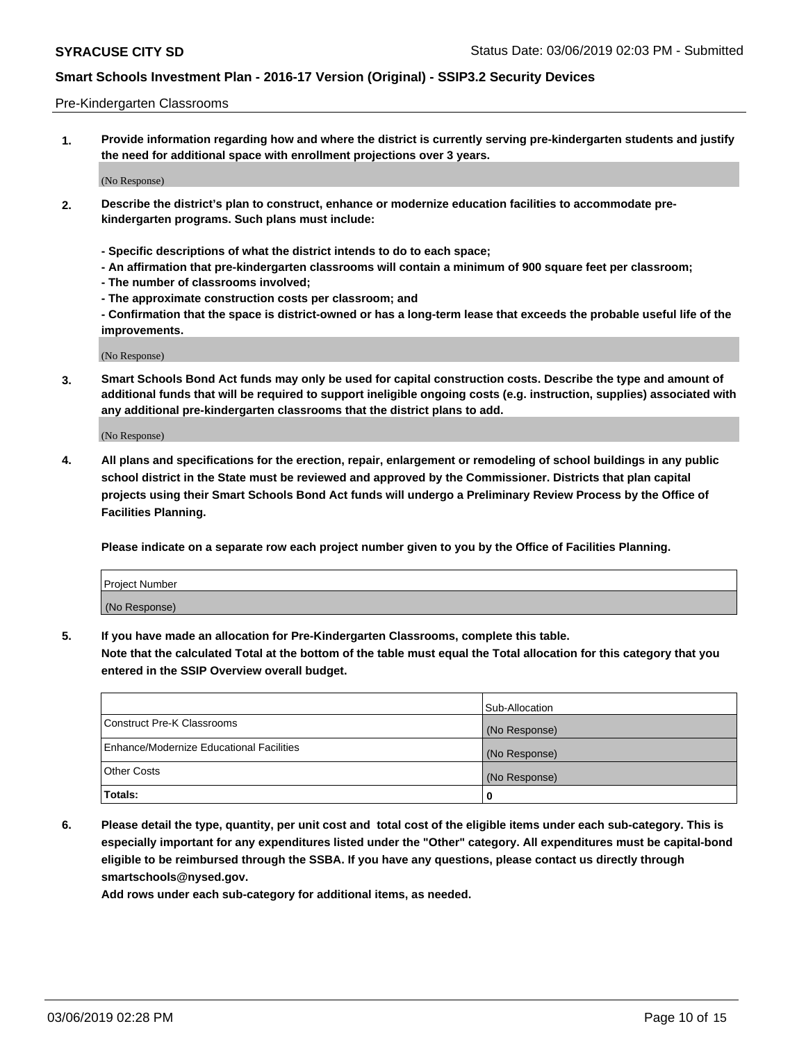### Pre-Kindergarten Classrooms

**1. Provide information regarding how and where the district is currently serving pre-kindergarten students and justify the need for additional space with enrollment projections over 3 years.**

(No Response)

- **2. Describe the district's plan to construct, enhance or modernize education facilities to accommodate prekindergarten programs. Such plans must include:**
	- **Specific descriptions of what the district intends to do to each space;**
	- **An affirmation that pre-kindergarten classrooms will contain a minimum of 900 square feet per classroom;**
	- **The number of classrooms involved;**
	- **The approximate construction costs per classroom; and**
	- **Confirmation that the space is district-owned or has a long-term lease that exceeds the probable useful life of the improvements.**

(No Response)

**3. Smart Schools Bond Act funds may only be used for capital construction costs. Describe the type and amount of additional funds that will be required to support ineligible ongoing costs (e.g. instruction, supplies) associated with any additional pre-kindergarten classrooms that the district plans to add.**

(No Response)

**4. All plans and specifications for the erection, repair, enlargement or remodeling of school buildings in any public school district in the State must be reviewed and approved by the Commissioner. Districts that plan capital projects using their Smart Schools Bond Act funds will undergo a Preliminary Review Process by the Office of Facilities Planning.**

**Please indicate on a separate row each project number given to you by the Office of Facilities Planning.**

| Project Number |  |
|----------------|--|
| (No Response)  |  |
|                |  |

**5. If you have made an allocation for Pre-Kindergarten Classrooms, complete this table.**

**Note that the calculated Total at the bottom of the table must equal the Total allocation for this category that you entered in the SSIP Overview overall budget.**

|                                          | Sub-Allocation |
|------------------------------------------|----------------|
| Construct Pre-K Classrooms               | (No Response)  |
| Enhance/Modernize Educational Facilities | (No Response)  |
| <b>Other Costs</b>                       | (No Response)  |
| Totals:                                  | 0              |

**6. Please detail the type, quantity, per unit cost and total cost of the eligible items under each sub-category. This is especially important for any expenditures listed under the "Other" category. All expenditures must be capital-bond eligible to be reimbursed through the SSBA. If you have any questions, please contact us directly through smartschools@nysed.gov.**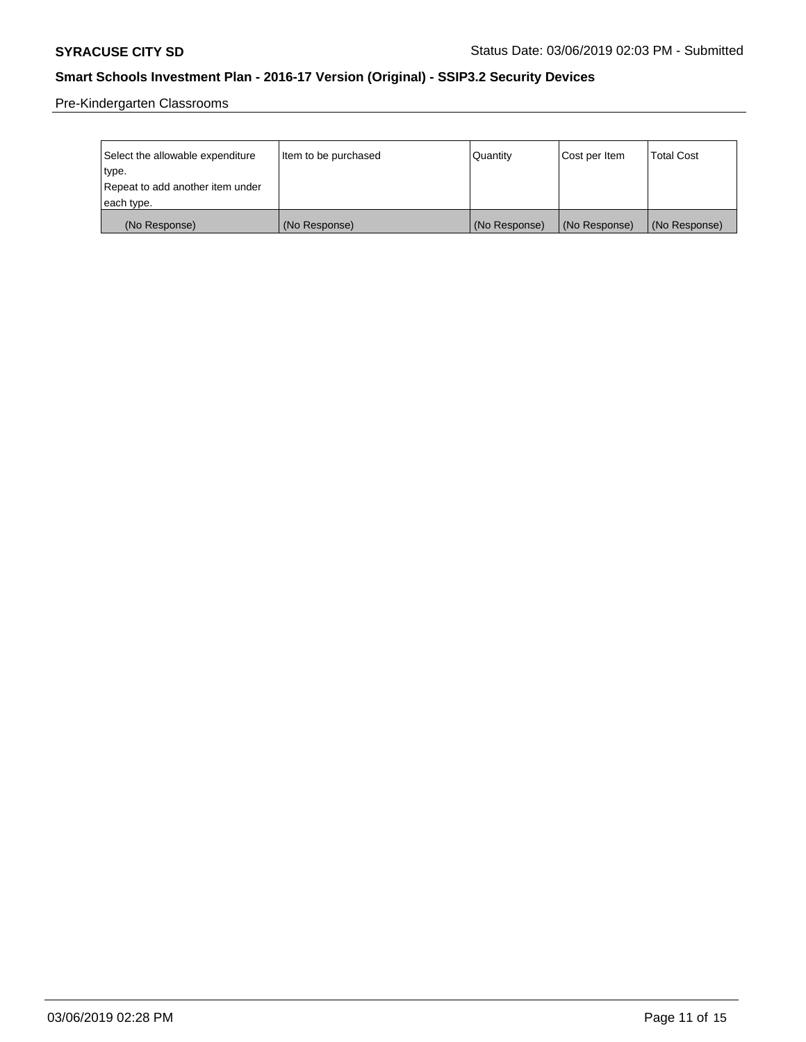Pre-Kindergarten Classrooms

| Select the allowable expenditure | Item to be purchased | Quantity      | Cost per Item | <b>Total Cost</b> |
|----------------------------------|----------------------|---------------|---------------|-------------------|
| type.                            |                      |               |               |                   |
| Repeat to add another item under |                      |               |               |                   |
| each type.                       |                      |               |               |                   |
| (No Response)                    | (No Response)        | (No Response) | (No Response) | (No Response)     |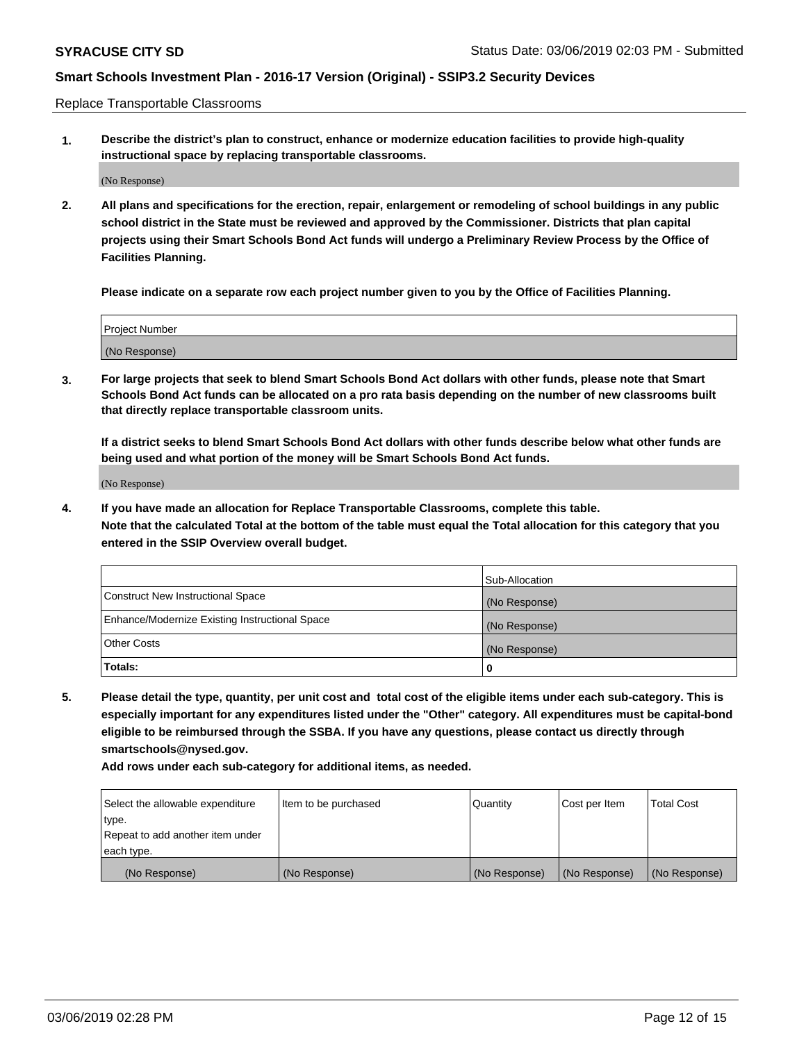Replace Transportable Classrooms

**1. Describe the district's plan to construct, enhance or modernize education facilities to provide high-quality instructional space by replacing transportable classrooms.**

(No Response)

**2. All plans and specifications for the erection, repair, enlargement or remodeling of school buildings in any public school district in the State must be reviewed and approved by the Commissioner. Districts that plan capital projects using their Smart Schools Bond Act funds will undergo a Preliminary Review Process by the Office of Facilities Planning.**

**Please indicate on a separate row each project number given to you by the Office of Facilities Planning.**

| Project Number |  |
|----------------|--|
|                |  |
|                |  |
|                |  |
|                |  |
| (No Response)  |  |
|                |  |
|                |  |
|                |  |

**3. For large projects that seek to blend Smart Schools Bond Act dollars with other funds, please note that Smart Schools Bond Act funds can be allocated on a pro rata basis depending on the number of new classrooms built that directly replace transportable classroom units.**

**If a district seeks to blend Smart Schools Bond Act dollars with other funds describe below what other funds are being used and what portion of the money will be Smart Schools Bond Act funds.**

(No Response)

**4. If you have made an allocation for Replace Transportable Classrooms, complete this table. Note that the calculated Total at the bottom of the table must equal the Total allocation for this category that you entered in the SSIP Overview overall budget.**

|                                                | Sub-Allocation |
|------------------------------------------------|----------------|
| Construct New Instructional Space              | (No Response)  |
| Enhance/Modernize Existing Instructional Space | (No Response)  |
| <b>Other Costs</b>                             | (No Response)  |
| Totals:                                        | 0              |

**5. Please detail the type, quantity, per unit cost and total cost of the eligible items under each sub-category. This is especially important for any expenditures listed under the "Other" category. All expenditures must be capital-bond eligible to be reimbursed through the SSBA. If you have any questions, please contact us directly through smartschools@nysed.gov.**

| Select the allowable expenditure | Item to be purchased | l Quantitv    | Cost per Item | <b>Total Cost</b> |
|----------------------------------|----------------------|---------------|---------------|-------------------|
| type.                            |                      |               |               |                   |
| Repeat to add another item under |                      |               |               |                   |
| each type.                       |                      |               |               |                   |
| (No Response)                    | (No Response)        | (No Response) | (No Response) | (No Response)     |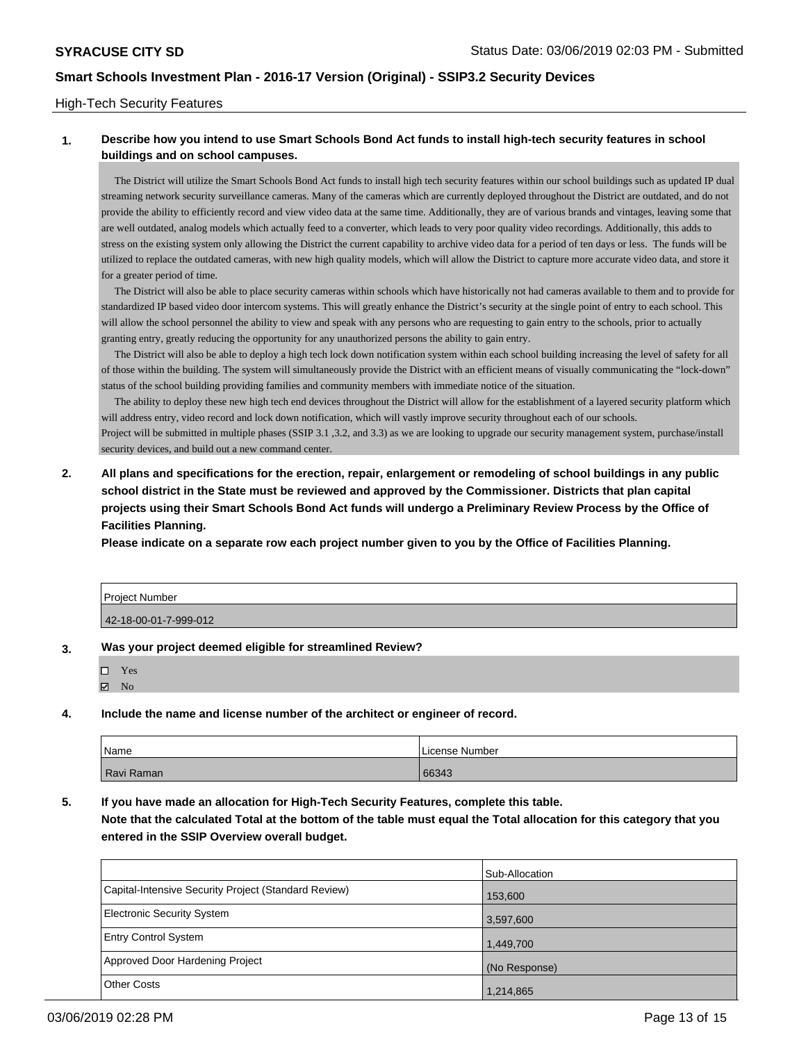### High-Tech Security Features

## **1. Describe how you intend to use Smart Schools Bond Act funds to install high-tech security features in school buildings and on school campuses.**

 The District will utilize the Smart Schools Bond Act funds to install high tech security features within our school buildings such as updated IP dual streaming network security surveillance cameras. Many of the cameras which are currently deployed throughout the District are outdated, and do not provide the ability to efficiently record and view video data at the same time. Additionally, they are of various brands and vintages, leaving some that are well outdated, analog models which actually feed to a converter, which leads to very poor quality video recordings. Additionally, this adds to stress on the existing system only allowing the District the current capability to archive video data for a period of ten days or less. The funds will be utilized to replace the outdated cameras, with new high quality models, which will allow the District to capture more accurate video data, and store it for a greater period of time.

 The District will also be able to place security cameras within schools which have historically not had cameras available to them and to provide for standardized IP based video door intercom systems. This will greatly enhance the District's security at the single point of entry to each school. This will allow the school personnel the ability to view and speak with any persons who are requesting to gain entry to the schools, prior to actually granting entry, greatly reducing the opportunity for any unauthorized persons the ability to gain entry.

 The District will also be able to deploy a high tech lock down notification system within each school building increasing the level of safety for all of those within the building. The system will simultaneously provide the District with an efficient means of visually communicating the "lock-down" status of the school building providing families and community members with immediate notice of the situation.

 The ability to deploy these new high tech end devices throughout the District will allow for the establishment of a layered security platform which will address entry, video record and lock down notification, which will vastly improve security throughout each of our schools. Project will be submitted in multiple phases (SSIP 3.1 ,3.2, and 3.3) as we are looking to upgrade our security management system, purchase/install security devices, and build out a new command center.

**2. All plans and specifications for the erection, repair, enlargement or remodeling of school buildings in any public school district in the State must be reviewed and approved by the Commissioner. Districts that plan capital projects using their Smart Schools Bond Act funds will undergo a Preliminary Review Process by the Office of Facilities Planning.** 

**Please indicate on a separate row each project number given to you by the Office of Facilities Planning.**

| <b>Project Number</b> |  |
|-----------------------|--|
| 42-18-00-01-7-999-012 |  |

#### **3. Was your project deemed eligible for streamlined Review?**

| П | Yes |
|---|-----|
| ☑ | Nο  |

#### **4. Include the name and license number of the architect or engineer of record.**

| Name       | License Number |
|------------|----------------|
| Ravi Raman | 66343          |

**5. If you have made an allocation for High-Tech Security Features, complete this table.**

**Note that the calculated Total at the bottom of the table must equal the Total allocation for this category that you entered in the SSIP Overview overall budget.**

|                                                      | Sub-Allocation |
|------------------------------------------------------|----------------|
| Capital-Intensive Security Project (Standard Review) | 153,600        |
| <b>Electronic Security System</b>                    | 3,597,600      |
| <b>Entry Control System</b>                          | 1,449,700      |
| Approved Door Hardening Project                      | (No Response)  |
| <b>Other Costs</b>                                   | 1,214,865      |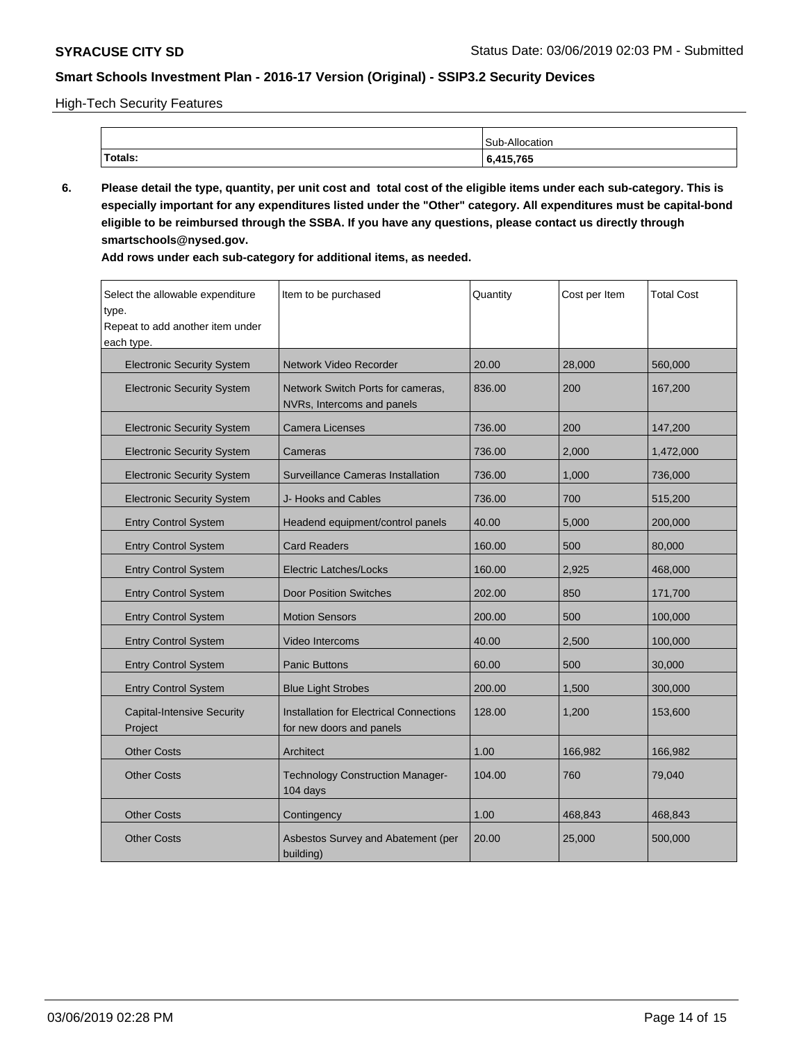High-Tech Security Features

|         | Allocation.<br>C <sub>11</sub> h |
|---------|----------------------------------|
| Totals: | 415,765                          |

**6. Please detail the type, quantity, per unit cost and total cost of the eligible items under each sub-category. This is especially important for any expenditures listed under the "Other" category. All expenditures must be capital-bond eligible to be reimbursed through the SSBA. If you have any questions, please contact us directly through smartschools@nysed.gov.**

| Select the allowable expenditure<br>type.<br>Repeat to add another item under<br>each type. | Item to be purchased                                                       | Quantity | Cost per Item | <b>Total Cost</b> |
|---------------------------------------------------------------------------------------------|----------------------------------------------------------------------------|----------|---------------|-------------------|
| <b>Electronic Security System</b>                                                           | <b>Network Video Recorder</b>                                              | 20.00    | 28,000        | 560,000           |
| <b>Electronic Security System</b>                                                           | Network Switch Ports for cameras,<br>NVRs, Intercoms and panels            | 836.00   | 200           | 167,200           |
| <b>Electronic Security System</b>                                                           | Camera Licenses                                                            | 736.00   | 200           | 147,200           |
| <b>Electronic Security System</b>                                                           | Cameras                                                                    | 736.00   | 2,000         | 1,472,000         |
| <b>Electronic Security System</b>                                                           | <b>Surveillance Cameras Installation</b>                                   | 736.00   | 1,000         | 736,000           |
| <b>Electronic Security System</b>                                                           | J- Hooks and Cables                                                        | 736.00   | 700           | 515,200           |
| <b>Entry Control System</b>                                                                 | Headend equipment/control panels                                           | 40.00    | 5,000         | 200,000           |
| <b>Entry Control System</b>                                                                 | <b>Card Readers</b>                                                        | 160.00   | 500           | 80,000            |
| <b>Entry Control System</b>                                                                 | <b>Electric Latches/Locks</b>                                              | 160.00   | 2,925         | 468,000           |
| <b>Entry Control System</b>                                                                 | <b>Door Position Switches</b>                                              | 202.00   | 850           | 171,700           |
| <b>Entry Control System</b>                                                                 | <b>Motion Sensors</b>                                                      | 200.00   | 500           | 100,000           |
| <b>Entry Control System</b>                                                                 | Video Intercoms                                                            | 40.00    | 2,500         | 100,000           |
| <b>Entry Control System</b>                                                                 | <b>Panic Buttons</b>                                                       | 60.00    | 500           | 30,000            |
| <b>Entry Control System</b>                                                                 | <b>Blue Light Strobes</b>                                                  | 200.00   | 1,500         | 300,000           |
| <b>Capital-Intensive Security</b><br>Project                                                | <b>Installation for Electrical Connections</b><br>for new doors and panels | 128.00   | 1,200         | 153,600           |
| <b>Other Costs</b>                                                                          | Architect                                                                  | 1.00     | 166,982       | 166,982           |
| <b>Other Costs</b>                                                                          | <b>Technology Construction Manager-</b><br>104 days                        | 104.00   | 760           | 79,040            |
| <b>Other Costs</b>                                                                          | Contingency                                                                | 1.00     | 468,843       | 468,843           |
| <b>Other Costs</b>                                                                          | Asbestos Survey and Abatement (per<br>building)                            | 20.00    | 25,000        | 500,000           |